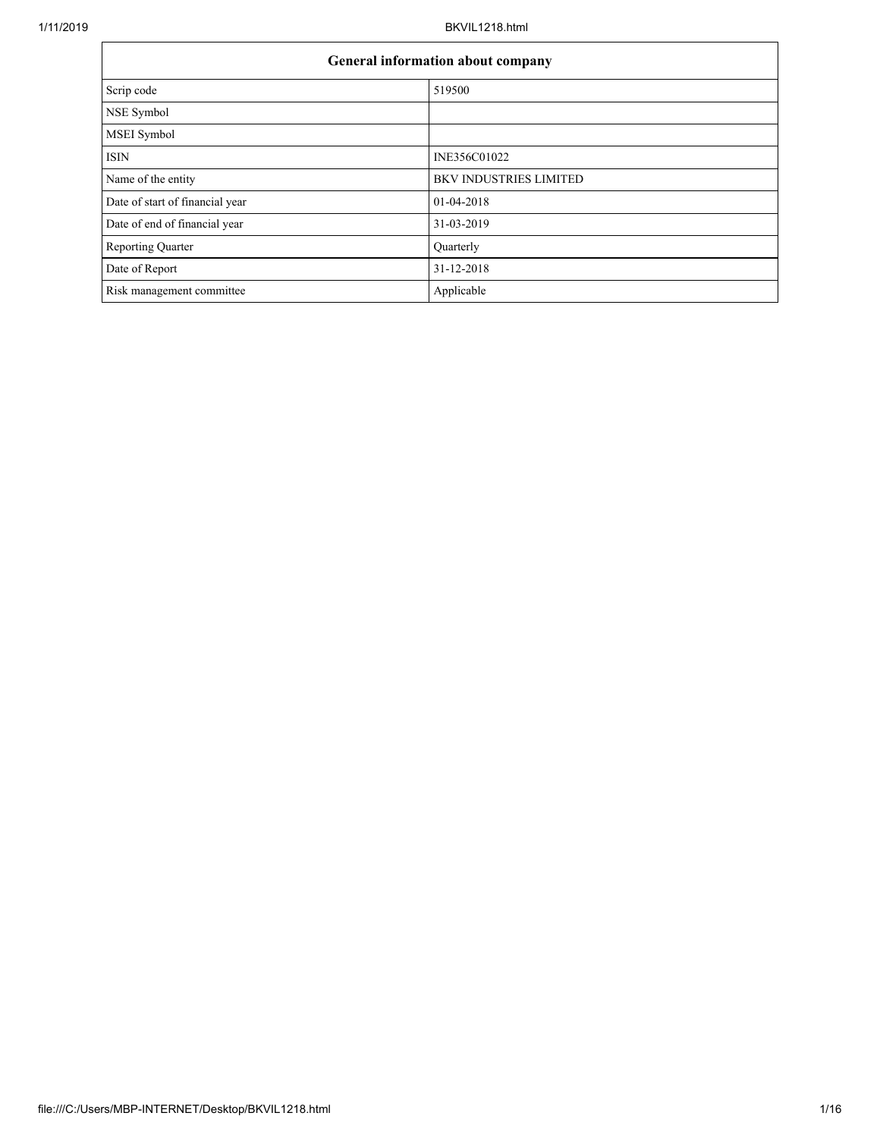| General information about company |                               |  |  |  |
|-----------------------------------|-------------------------------|--|--|--|
| Scrip code                        | 519500                        |  |  |  |
| NSE Symbol                        |                               |  |  |  |
| MSEI Symbol                       |                               |  |  |  |
| <b>ISIN</b>                       | INE356C01022                  |  |  |  |
| Name of the entity                | <b>BKV INDUSTRIES LIMITED</b> |  |  |  |
| Date of start of financial year   | 01-04-2018                    |  |  |  |
| Date of end of financial year     | 31-03-2019                    |  |  |  |
| Reporting Quarter                 | Quarterly                     |  |  |  |
| Date of Report                    | 31-12-2018                    |  |  |  |
| Risk management committee         | Applicable                    |  |  |  |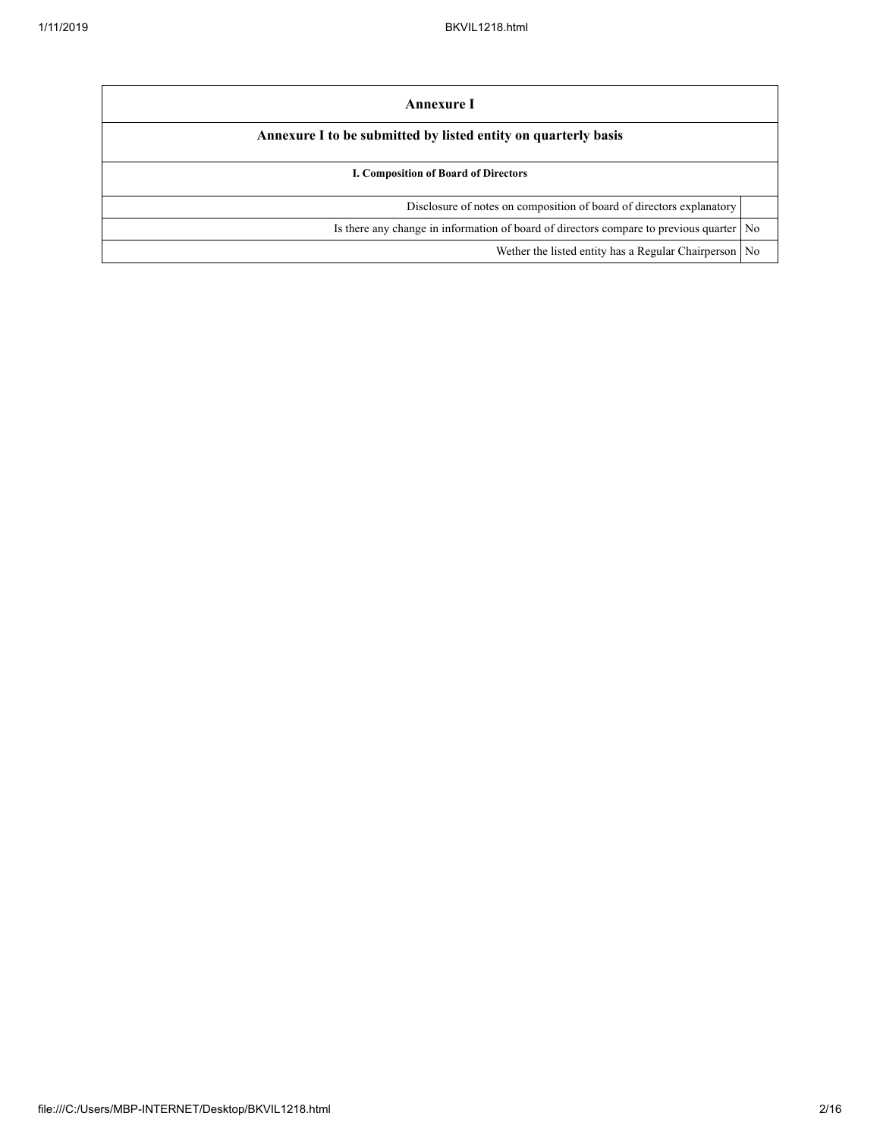| Annexure I                                                                                |  |  |  |  |
|-------------------------------------------------------------------------------------------|--|--|--|--|
| Annexure I to be submitted by listed entity on quarterly basis                            |  |  |  |  |
| <b>I. Composition of Board of Directors</b>                                               |  |  |  |  |
| Disclosure of notes on composition of board of directors explanatory                      |  |  |  |  |
| Is there any change in information of board of directors compare to previous quarter   No |  |  |  |  |
| Wether the listed entity has a Regular Chairperson No                                     |  |  |  |  |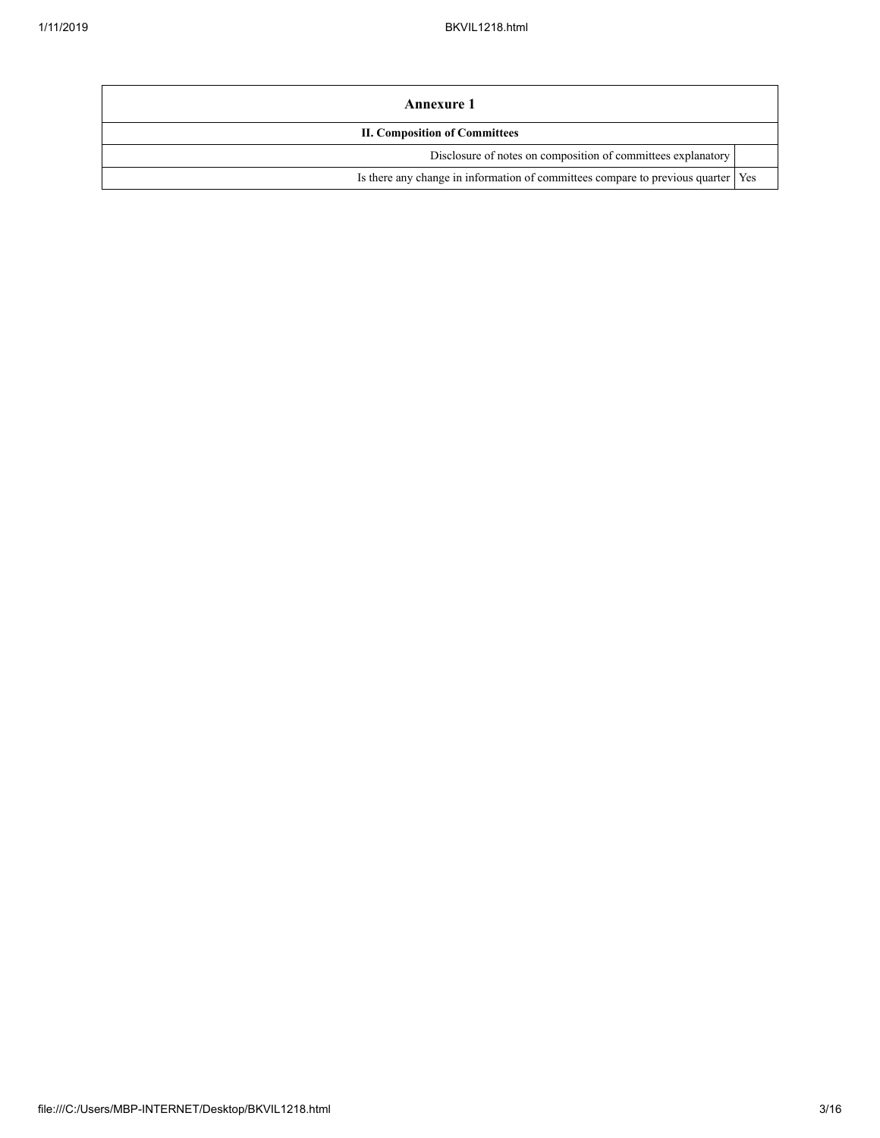| Annexure 1                                                                         |  |  |  |  |
|------------------------------------------------------------------------------------|--|--|--|--|
| <b>II. Composition of Committees</b>                                               |  |  |  |  |
| Disclosure of notes on composition of committees explanatory                       |  |  |  |  |
| Is there any change in information of committees compare to previous quarter   Yes |  |  |  |  |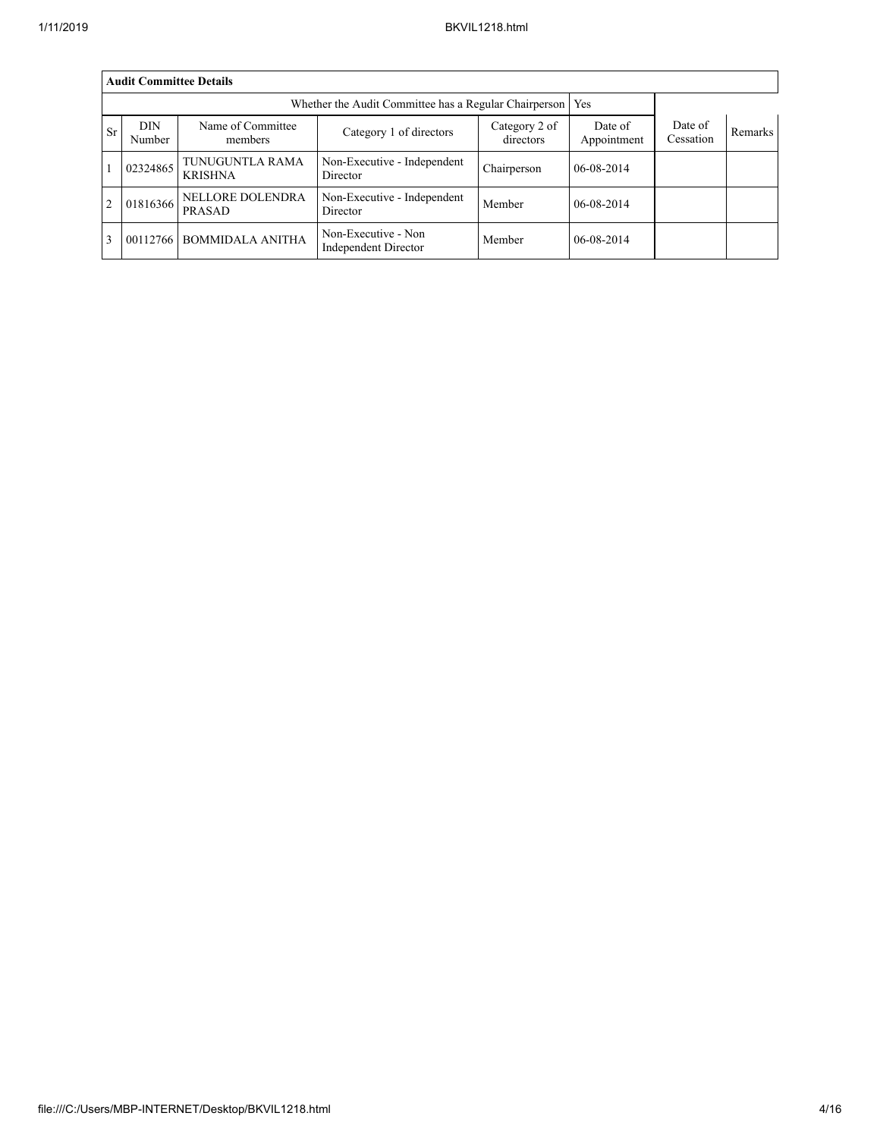|                | <b>Audit Committee Details</b> |                                   |                                                       |                            |                        |                      |         |  |
|----------------|--------------------------------|-----------------------------------|-------------------------------------------------------|----------------------------|------------------------|----------------------|---------|--|
|                |                                |                                   | Whether the Audit Committee has a Regular Chairperson |                            | Yes                    |                      |         |  |
| <b>Sr</b>      | <b>DIN</b><br>Number           | Name of Committee<br>members      | Category 1 of directors                               | Category 2 of<br>directors | Date of<br>Appointment | Date of<br>Cessation | Remarks |  |
|                | 02324865                       | TUNUGUNTLA RAMA<br><b>KRISHNA</b> | Non-Executive - Independent<br>Director               | Chairperson                | 06-08-2014             |                      |         |  |
| $\overline{2}$ | 01816366                       | NELLORE DOLENDRA<br>PRASAD        | Non-Executive - Independent<br>Director               | Member                     | 06-08-2014             |                      |         |  |
| $\overline{3}$ | 00112766                       | <b>BOMMIDALA ANITHA</b>           | Non-Executive - Non<br>Independent Director           | Member                     | 06-08-2014             |                      |         |  |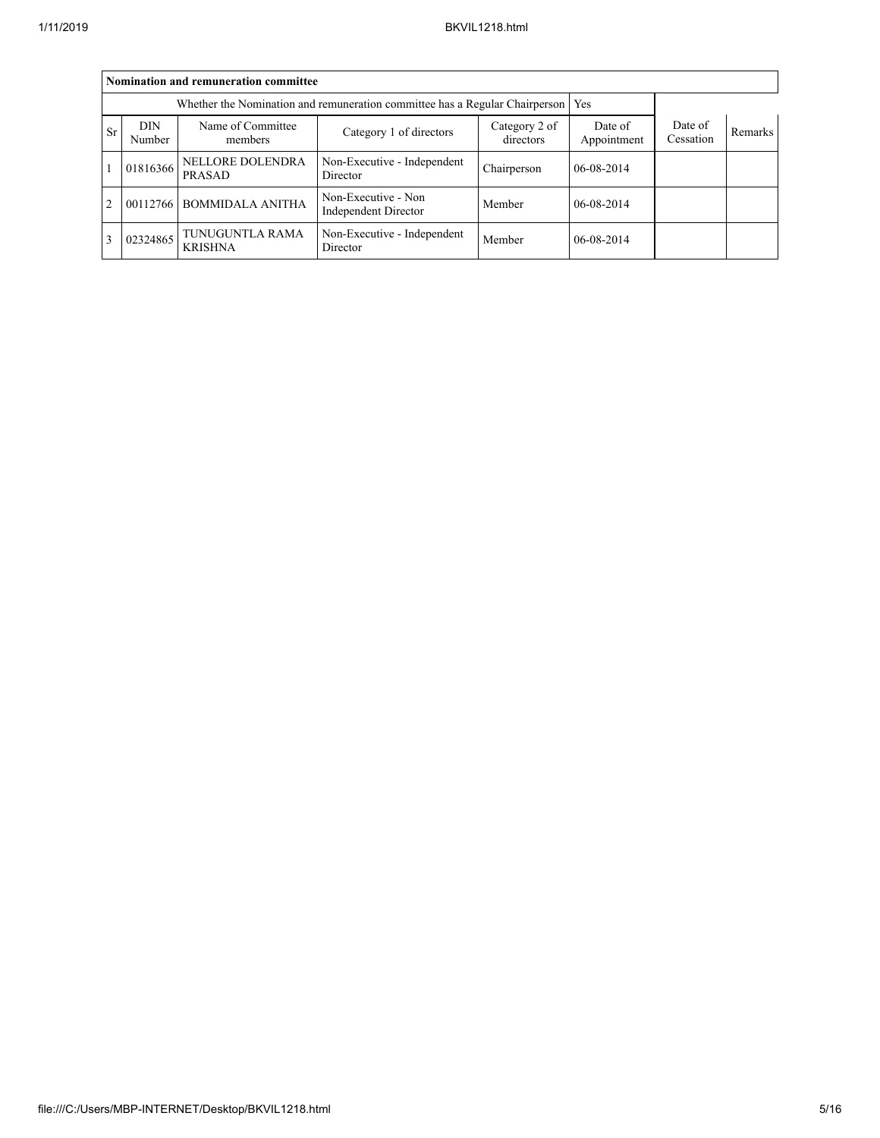|                | Nomination and remuneration committee |                                   |                                                                                   |                            |                        |                      |         |  |
|----------------|---------------------------------------|-----------------------------------|-----------------------------------------------------------------------------------|----------------------------|------------------------|----------------------|---------|--|
|                |                                       |                                   | Whether the Nomination and remuneration committee has a Regular Chairperson   Yes |                            |                        |                      |         |  |
| <b>Sr</b>      | DIN<br>Number                         | Name of Committee<br>members      | Category 1 of directors                                                           | Category 2 of<br>directors | Date of<br>Appointment | Date of<br>Cessation | Remarks |  |
|                | 01816366                              | NELLORE DOLENDRA<br>PRASAD        | Non-Executive - Independent<br>Director                                           | Chairperson                | 06-08-2014             |                      |         |  |
| $\overline{2}$ | 00112766                              | <b>BOMMIDALA ANITHA</b>           | Non-Executive - Non<br>Independent Director                                       | Member                     | 06-08-2014             |                      |         |  |
| 3              | 02324865                              | TUNUGUNTLA RAMA<br><b>KRISHNA</b> | Non-Executive - Independent<br>Director                                           | Member                     | 06-08-2014             |                      |         |  |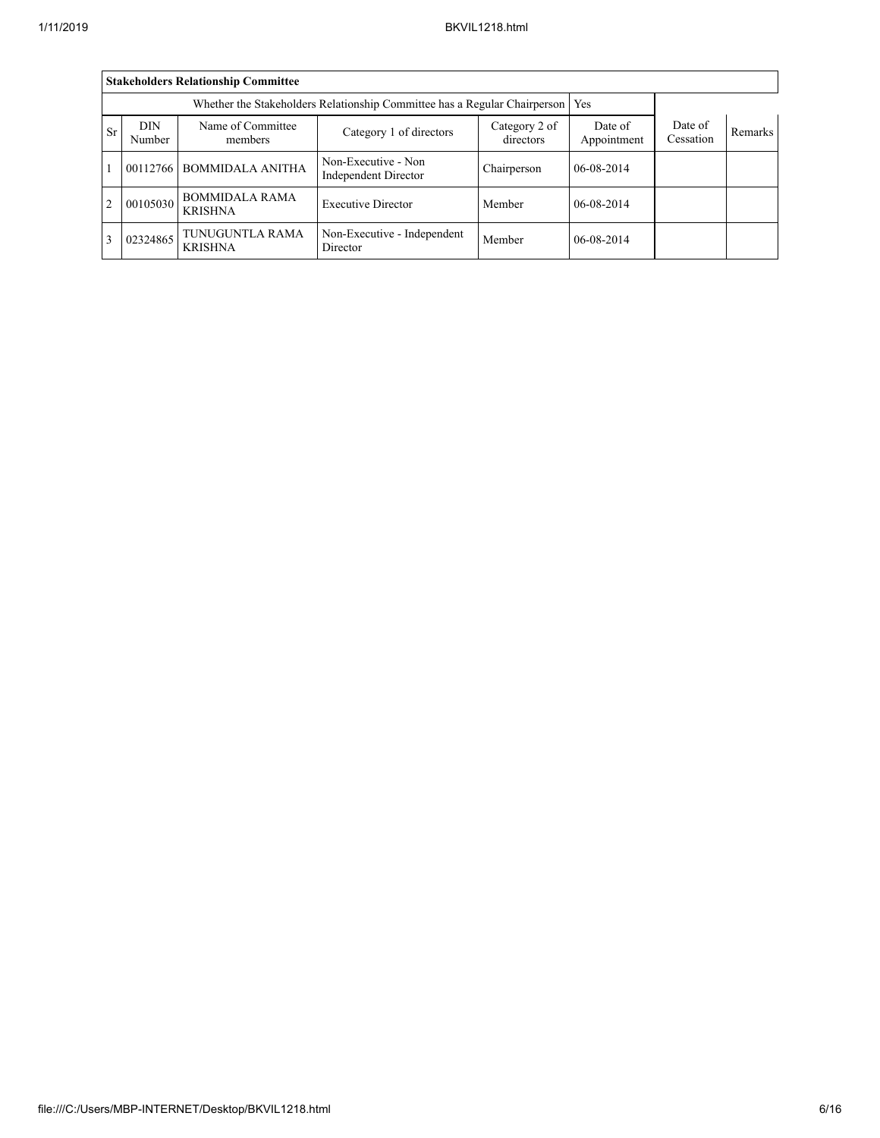|                          | <b>Stakeholders Relationship Committee</b> |                                         |                                                                                 |                            |                        |                      |         |  |  |
|--------------------------|--------------------------------------------|-----------------------------------------|---------------------------------------------------------------------------------|----------------------------|------------------------|----------------------|---------|--|--|
|                          |                                            |                                         | Whether the Stakeholders Relationship Committee has a Regular Chairperson   Yes |                            |                        |                      |         |  |  |
| <b>Sr</b>                | <b>DIN</b><br>Number                       | Name of Committee<br>members            | Category 1 of directors                                                         | Category 2 of<br>directors | Date of<br>Appointment | Date of<br>Cessation | Remarks |  |  |
| $\overline{\phantom{a}}$ | 00112766                                   | <b>BOMMIDALA ANITHA</b>                 | Non-Executive - Non<br>Independent Director                                     | Chairperson                | 06-08-2014             |                      |         |  |  |
| $\overline{2}$           | 00105030                                   | <b>BOMMIDALA RAMA</b><br><b>KRISHNA</b> | <b>Executive Director</b>                                                       | Member                     | 06-08-2014             |                      |         |  |  |
| $\overline{3}$           | 02324865                                   | TUNUGUNTLA RAMA<br><b>KRISHNA</b>       | Non-Executive - Independent<br>Director                                         | Member                     | 06-08-2014             |                      |         |  |  |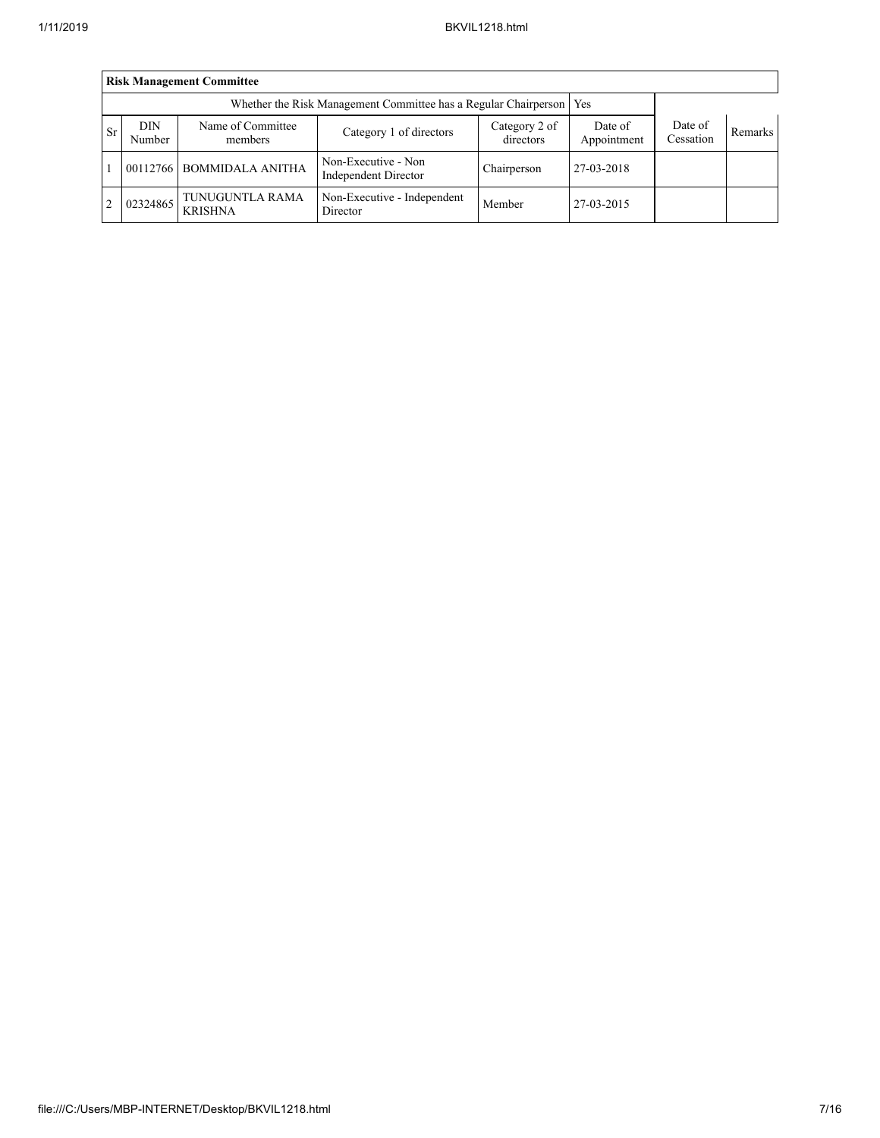|                | <b>Risk Management Committee</b>                                      |                                   |                                                       |             |                        |                      |         |  |  |
|----------------|-----------------------------------------------------------------------|-----------------------------------|-------------------------------------------------------|-------------|------------------------|----------------------|---------|--|--|
|                | Whether the Risk Management Committee has a Regular Chairperson   Yes |                                   |                                                       |             |                        |                      |         |  |  |
| <b>Sr</b>      | <b>DIN</b><br>Number                                                  | Name of Committee<br>members      | Category 2 of<br>Category 1 of directors<br>directors |             | Date of<br>Appointment | Date of<br>Cessation | Remarks |  |  |
|                | 00112766                                                              | <b>BOMMIDALA ANITHA</b>           | Non-Executive - Non<br>Independent Director           | Chairperson | 27-03-2018             |                      |         |  |  |
| $\overline{2}$ | 02324865                                                              | TUNUGUNTLA RAMA<br><b>KRISHNA</b> | Non-Executive - Independent<br>Director               | Member      | 27-03-2015             |                      |         |  |  |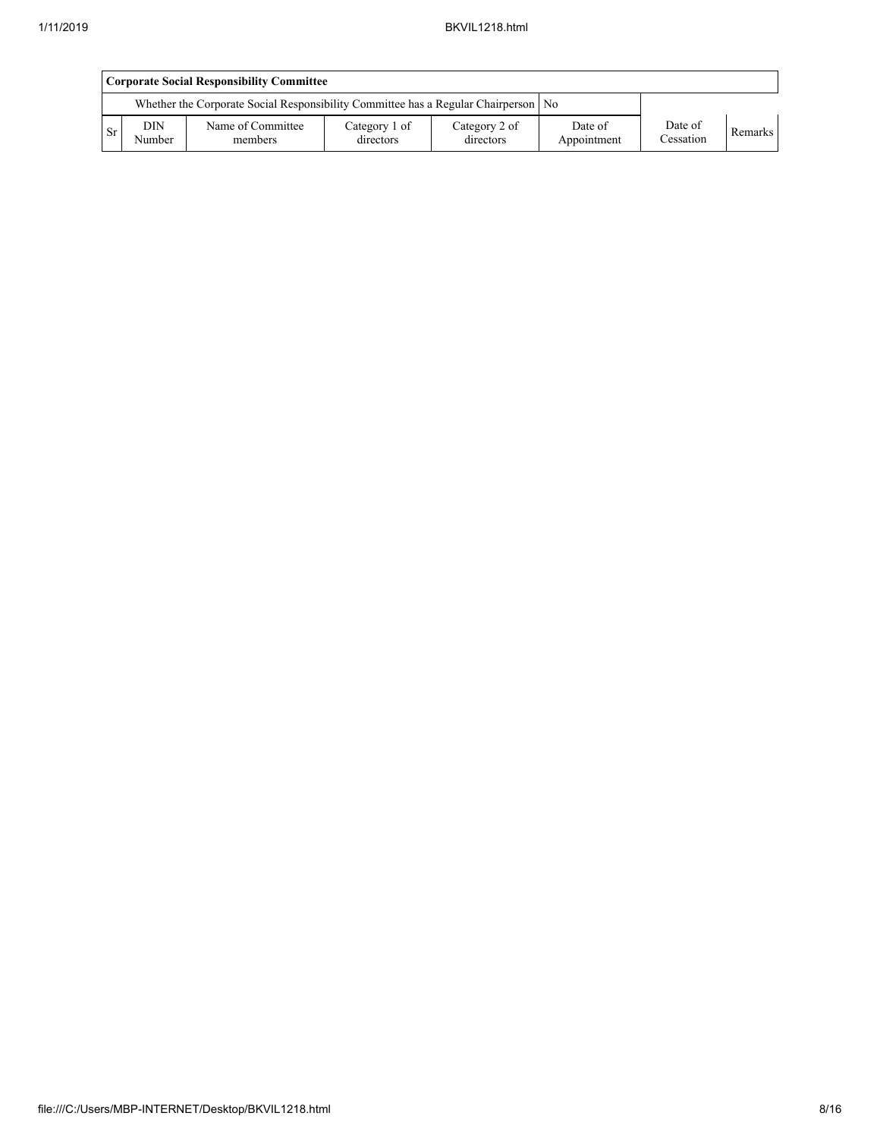|                                                                                 | <b>Corporate Social Responsibility Committee</b> |                              |                            |                            |                        |                      |         |  |
|---------------------------------------------------------------------------------|--------------------------------------------------|------------------------------|----------------------------|----------------------------|------------------------|----------------------|---------|--|
| Whether the Corporate Social Responsibility Committee has a Regular Chairperson |                                                  |                              |                            | No                         |                        |                      |         |  |
| Sr                                                                              | <b>DIN</b><br>Number                             | Name of Committee<br>members | Category 1 of<br>directors | Category 2 of<br>directors | Date of<br>Appointment | Date of<br>Cessation | Remarks |  |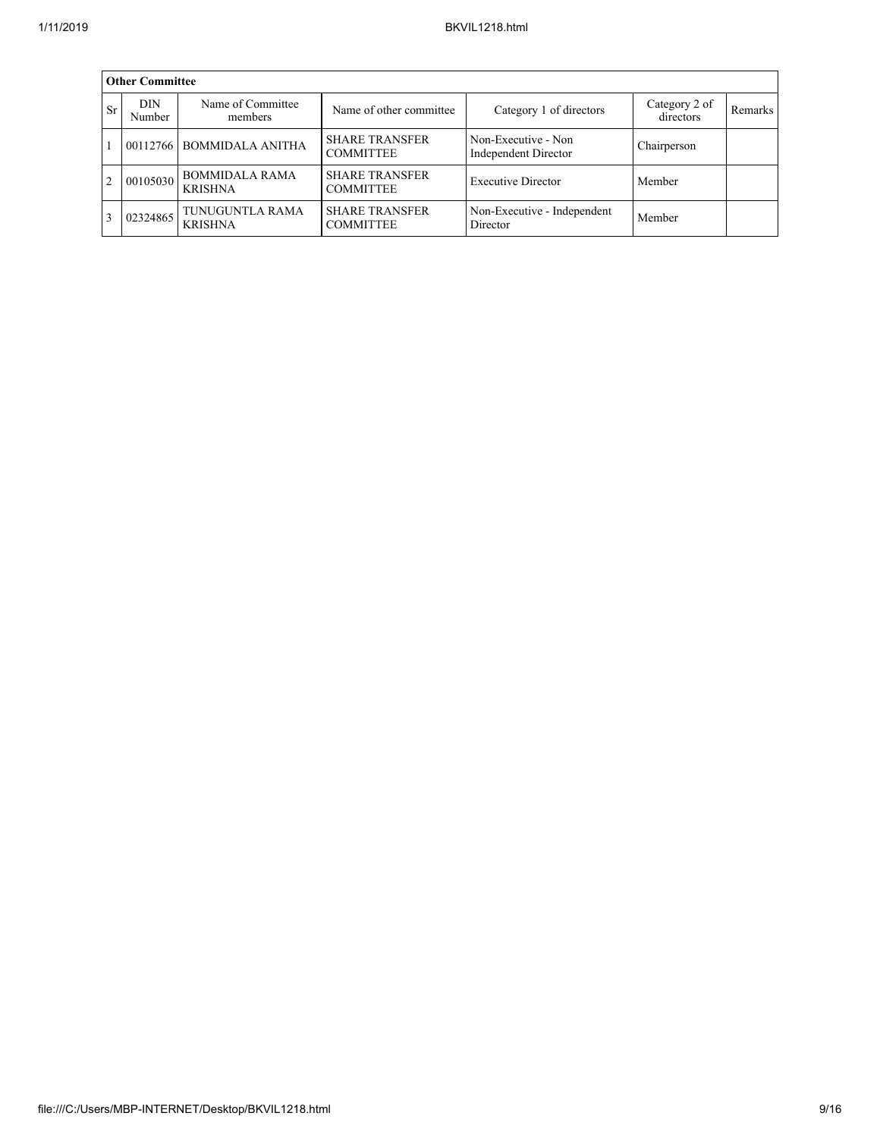|                | <b>Other Committee</b> |                                         |                                                    |                                             |                            |                |  |  |  |
|----------------|------------------------|-----------------------------------------|----------------------------------------------------|---------------------------------------------|----------------------------|----------------|--|--|--|
| Sr             | <b>DIN</b><br>Number   | Name of Committee<br>members            | Name of other committee<br>Category 1 of directors |                                             | Category 2 of<br>directors | <b>Remarks</b> |  |  |  |
|                |                        | 00112766 BOMMIDALA ANITHA               | <b>SHARE TRANSFER</b><br><b>COMMITTEE</b>          | Non-Executive - Non<br>Independent Director | Chairperson                |                |  |  |  |
| $\overline{2}$ | 00105030               | <b>BOMMIDALA RAMA</b><br><b>KRISHNA</b> | <b>SHARE TRANSFER</b><br><b>COMMITTEE</b>          | <b>Executive Director</b><br>Member         |                            |                |  |  |  |
| $\mathbf{3}$   | 02324865               | TUNUGUNTLA RAMA<br><b>KRISHNA</b>       | <b>SHARE TRANSFER</b><br><b>COMMITTEE</b>          | Non-Executive - Independent<br>Director     | Member                     |                |  |  |  |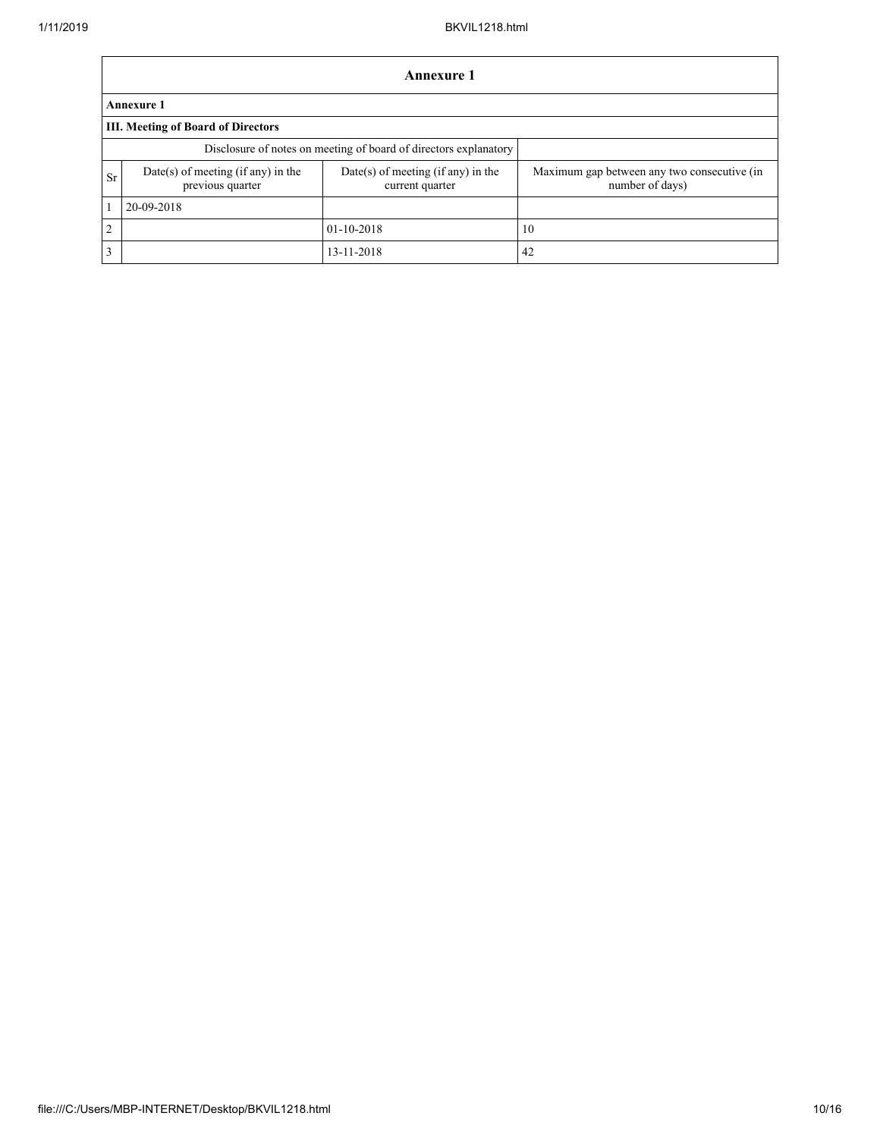|               | <b>Annexure 1</b>                                                |                                                         |                                                                |  |  |  |  |  |
|---------------|------------------------------------------------------------------|---------------------------------------------------------|----------------------------------------------------------------|--|--|--|--|--|
|               | <b>Annexure 1</b>                                                |                                                         |                                                                |  |  |  |  |  |
|               | <b>III. Meeting of Board of Directors</b>                        |                                                         |                                                                |  |  |  |  |  |
|               | Disclosure of notes on meeting of board of directors explanatory |                                                         |                                                                |  |  |  |  |  |
| Sr            | Date(s) of meeting (if any) in the<br>previous quarter           | $Date(s)$ of meeting (if any) in the<br>current quarter | Maximum gap between any two consecutive (in<br>number of days) |  |  |  |  |  |
|               | 20-09-2018                                                       |                                                         |                                                                |  |  |  |  |  |
| $\mathcal{D}$ |                                                                  | $01 - 10 - 2018$                                        | 10                                                             |  |  |  |  |  |
| 3             |                                                                  | 13-11-2018                                              | 42                                                             |  |  |  |  |  |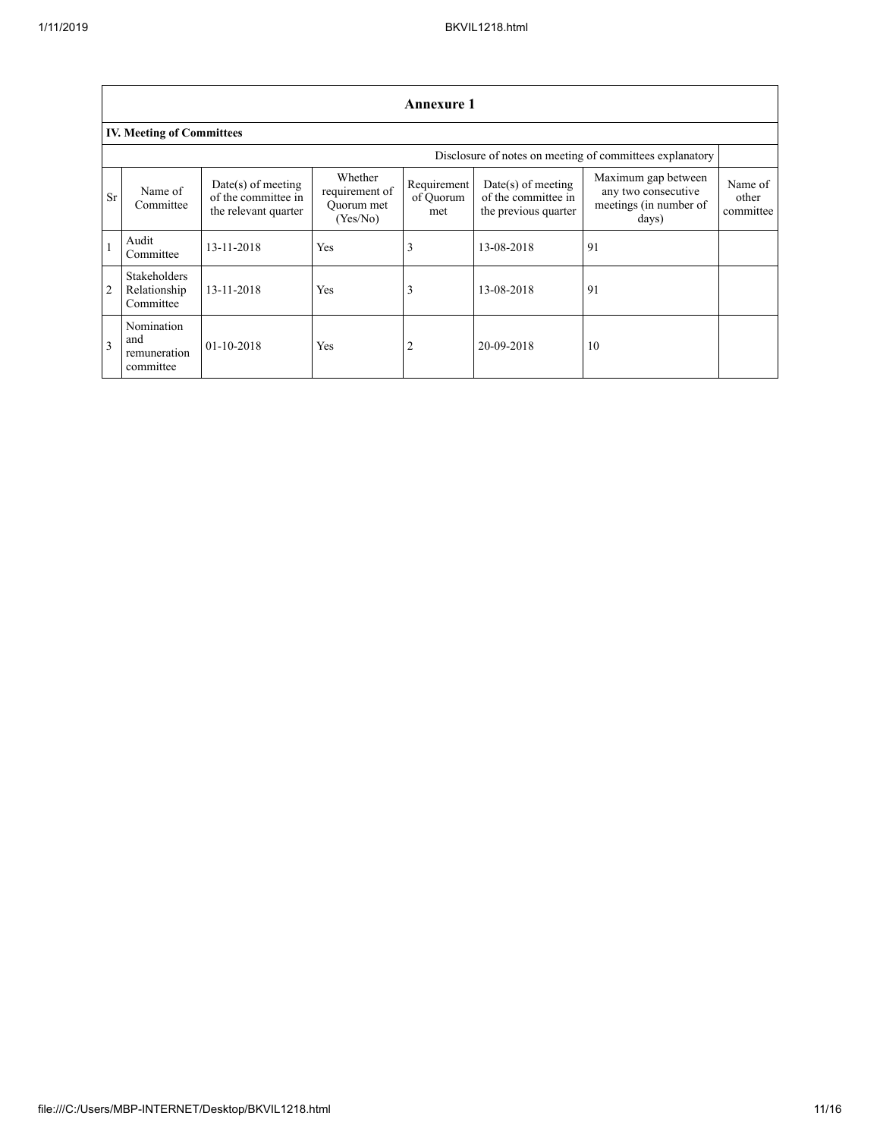| <b>Annexure 1</b> |                                                  |                                                                     |                                                     |                                 |                                                                     |                                                                               |                               |
|-------------------|--------------------------------------------------|---------------------------------------------------------------------|-----------------------------------------------------|---------------------------------|---------------------------------------------------------------------|-------------------------------------------------------------------------------|-------------------------------|
|                   | <b>IV. Meeting of Committees</b>                 |                                                                     |                                                     |                                 |                                                                     |                                                                               |                               |
|                   |                                                  |                                                                     |                                                     |                                 |                                                                     | Disclosure of notes on meeting of committees explanatory                      |                               |
| <b>Sr</b>         | Name of<br>Committee                             | $Date(s)$ of meeting<br>of the committee in<br>the relevant quarter | Whether<br>requirement of<br>Quorum met<br>(Yes/No) | Requirement<br>of Quorum<br>met | $Date(s)$ of meeting<br>of the committee in<br>the previous quarter | Maximum gap between<br>any two consecutive<br>meetings (in number of<br>days) | Name of<br>other<br>committee |
|                   | Audit<br>Committee                               | 13-11-2018                                                          | Yes                                                 | 3                               | 13-08-2018                                                          | 91                                                                            |                               |
| 2                 | <b>Stakeholders</b><br>Relationship<br>Committee | 13-11-2018                                                          | Yes                                                 | 3                               | 13-08-2018                                                          | 91                                                                            |                               |
| 3                 | Nomination<br>and<br>remuneration<br>committee   | $01 - 10 - 2018$                                                    | Yes                                                 |                                 | 20-09-2018                                                          | 10                                                                            |                               |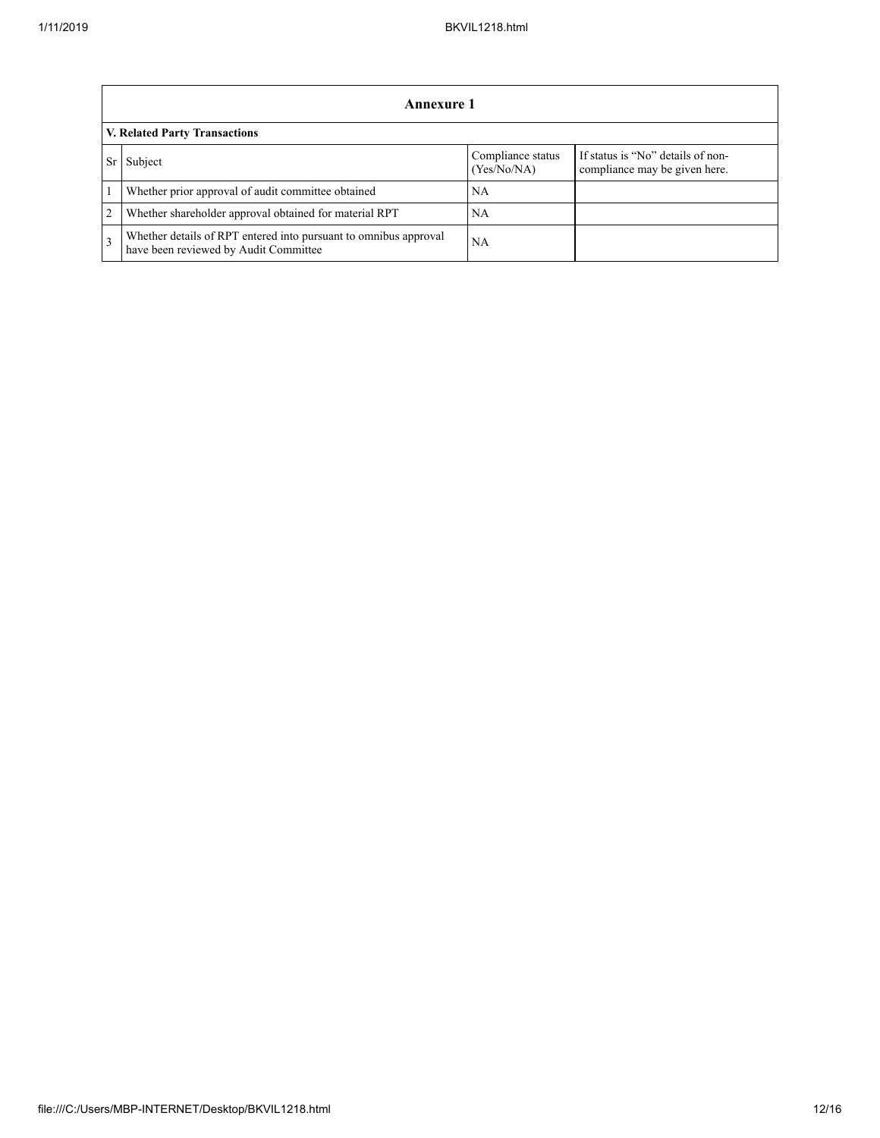|                | Annexure 1                                                                                                |                                  |                                                                    |  |  |  |  |
|----------------|-----------------------------------------------------------------------------------------------------------|----------------------------------|--------------------------------------------------------------------|--|--|--|--|
|                | V. Related Party Transactions                                                                             |                                  |                                                                    |  |  |  |  |
|                | Subject                                                                                                   | Compliance status<br>(Yes/No/NA) | If status is "No" details of non-<br>compliance may be given here. |  |  |  |  |
|                | Whether prior approval of audit committee obtained                                                        | NA                               |                                                                    |  |  |  |  |
| $\overline{2}$ | Whether shareholder approval obtained for material RPT                                                    | NA                               |                                                                    |  |  |  |  |
| $\mathcal{R}$  | Whether details of RPT entered into pursuant to omnibus approval<br>have been reviewed by Audit Committee | <b>NA</b>                        |                                                                    |  |  |  |  |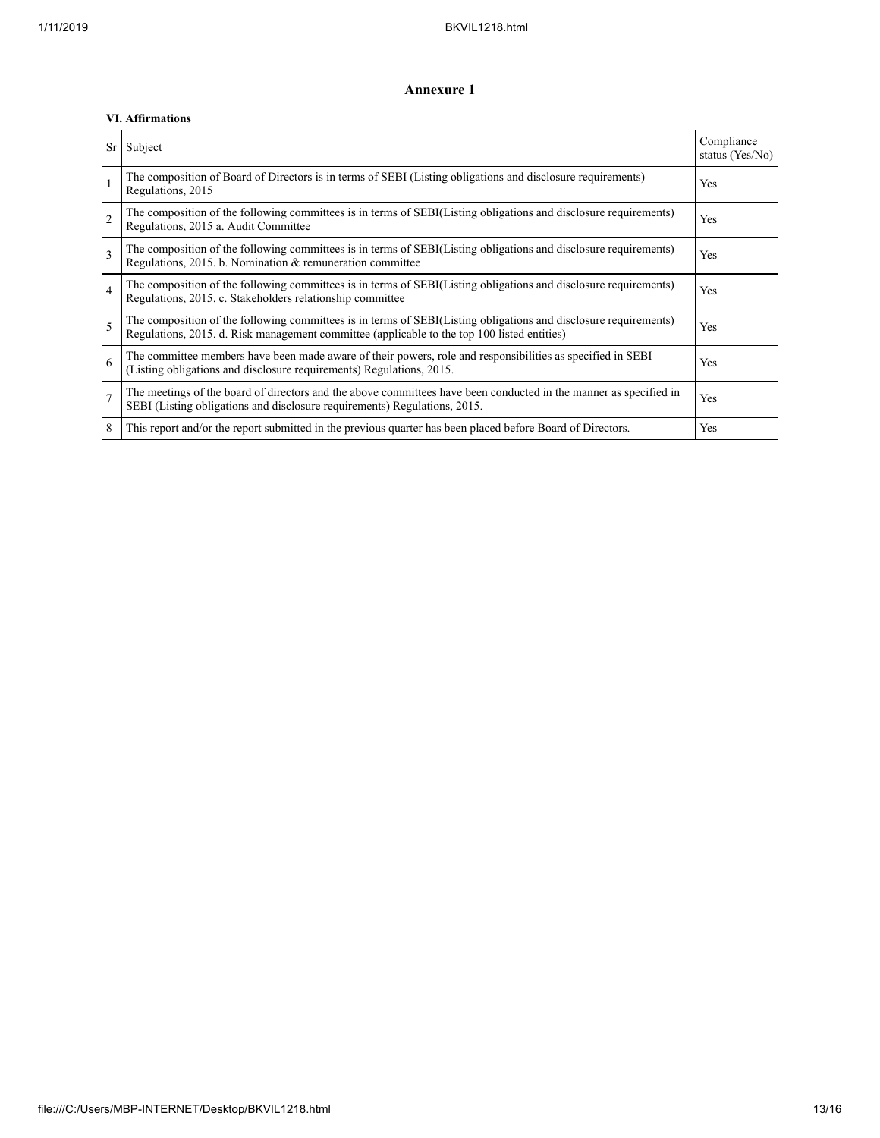|                | Annexure 1                                                                                                                                                                                                      |                               |  |  |  |
|----------------|-----------------------------------------------------------------------------------------------------------------------------------------------------------------------------------------------------------------|-------------------------------|--|--|--|
|                | <b>VI. Affirmations</b>                                                                                                                                                                                         |                               |  |  |  |
| <b>Sr</b>      | Subject                                                                                                                                                                                                         | Compliance<br>status (Yes/No) |  |  |  |
| $\mathbf{1}$   | The composition of Board of Directors is in terms of SEBI (Listing obligations and disclosure requirements)<br>Regulations, 2015                                                                                | Yes                           |  |  |  |
| $\overline{2}$ | The composition of the following committees is in terms of SEBI(Listing obligations and disclosure requirements)<br>Regulations, 2015 a. Audit Committee                                                        | Yes                           |  |  |  |
| $\overline{3}$ | The composition of the following committees is in terms of SEBI(Listing obligations and disclosure requirements)<br>Regulations, 2015. b. Nomination & remuneration committee                                   | Yes                           |  |  |  |
| $\overline{4}$ | The composition of the following committees is in terms of SEBI(Listing obligations and disclosure requirements)<br>Regulations, 2015. c. Stakeholders relationship committee                                   | Yes                           |  |  |  |
| 5              | The composition of the following committees is in terms of SEBI(Listing obligations and disclosure requirements)<br>Regulations, 2015. d. Risk management committee (applicable to the top 100 listed entities) | Yes                           |  |  |  |
| 6              | The committee members have been made aware of their powers, role and responsibilities as specified in SEBI<br>(Listing obligations and disclosure requirements) Regulations, 2015.                              | Yes                           |  |  |  |
| $\overline{7}$ | The meetings of the board of directors and the above committees have been conducted in the manner as specified in<br>SEBI (Listing obligations and disclosure requirements) Regulations, 2015.                  | Yes                           |  |  |  |
| 8              | This report and/or the report submitted in the previous quarter has been placed before Board of Directors.                                                                                                      | Yes                           |  |  |  |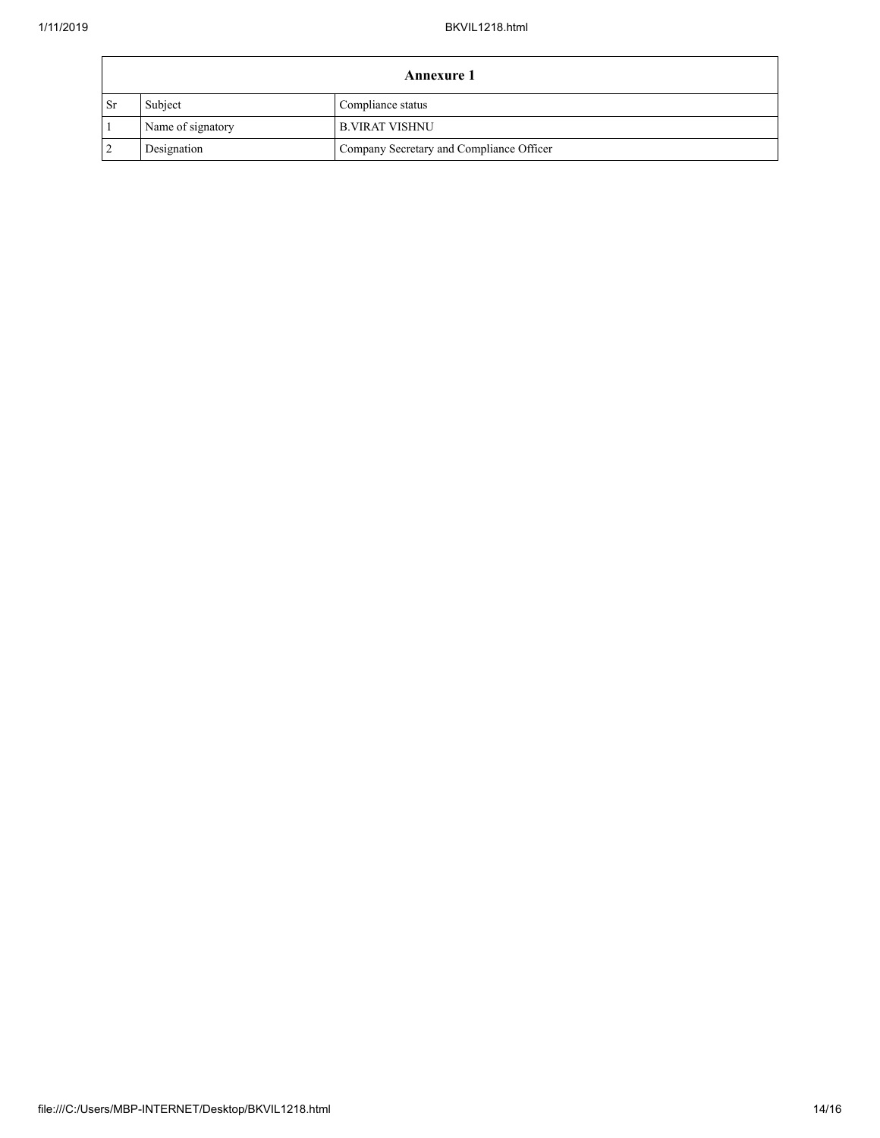| <b>Annexure 1</b> |                   |                                          |  |
|-------------------|-------------------|------------------------------------------|--|
| <b>Sr</b>         | Subject           | Compliance status                        |  |
|                   | Name of signatory | <b>B.VIRAT VISHNU</b>                    |  |
| $\overline{2}$    | Designation       | Company Secretary and Compliance Officer |  |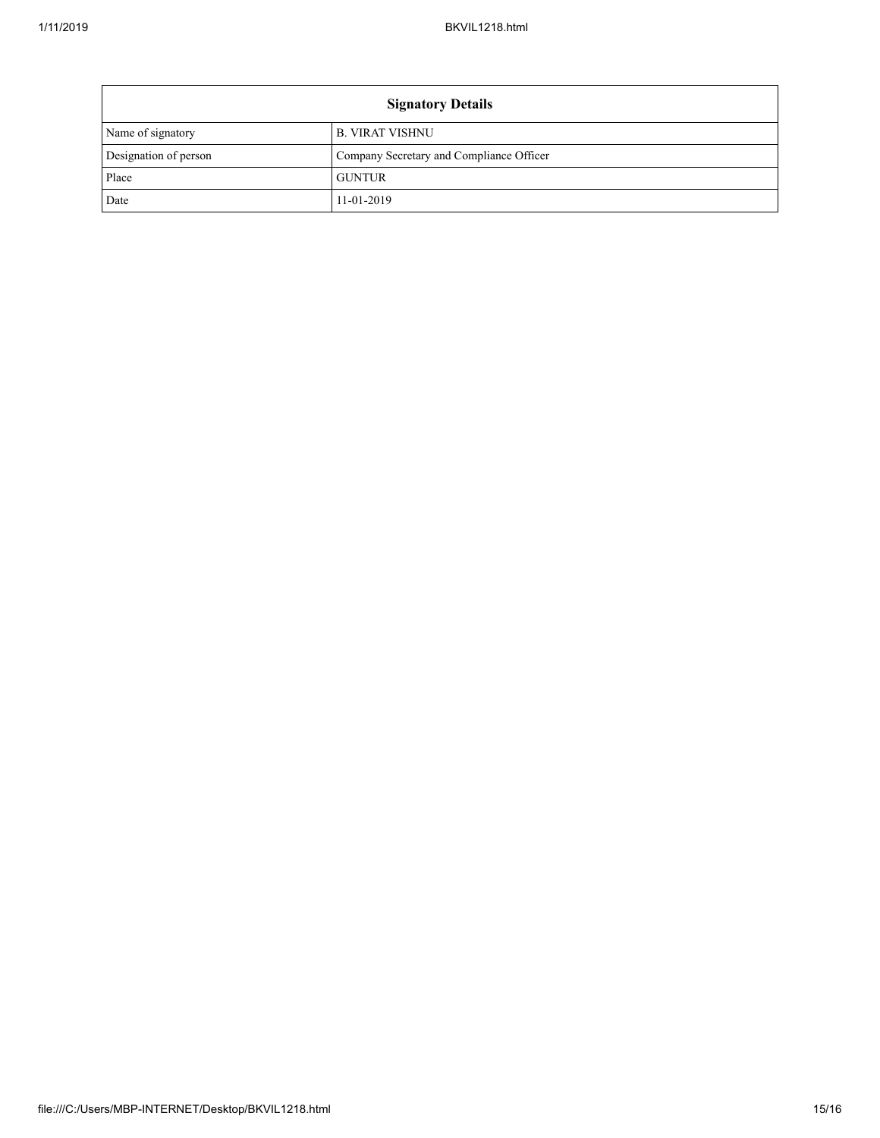| <b>Signatory Details</b> |                                          |  |  |
|--------------------------|------------------------------------------|--|--|
| Name of signatory        | <b>B. VIRAT VISHNU</b>                   |  |  |
| Designation of person    | Company Secretary and Compliance Officer |  |  |
| Place                    | <b>GUNTUR</b>                            |  |  |
| Date                     | 11-01-2019                               |  |  |